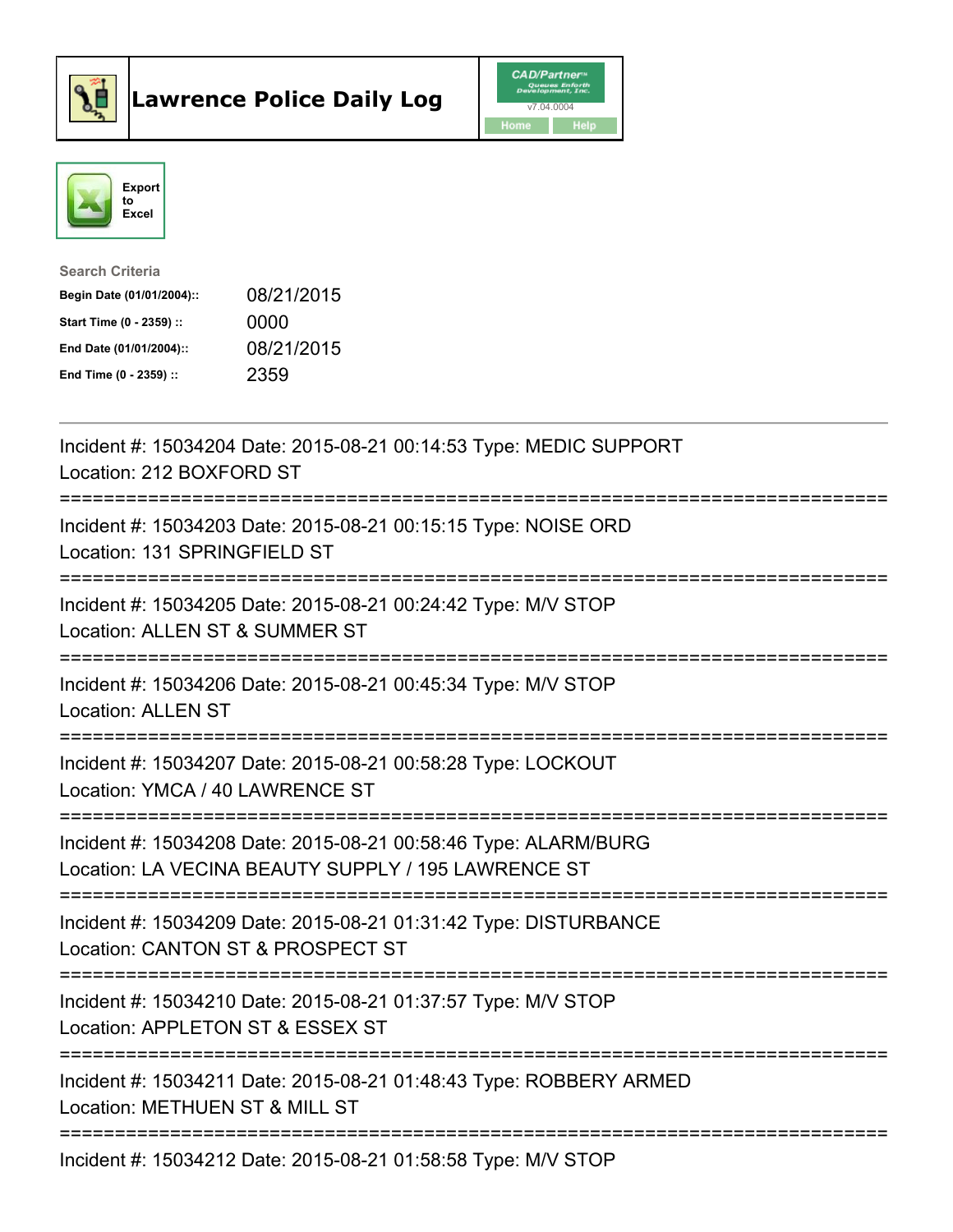



| <b>Search Criteria</b>    |            |
|---------------------------|------------|
| Begin Date (01/01/2004):: | 08/21/2015 |
| Start Time (0 - 2359) ::  | 0000       |
| End Date (01/01/2004)::   | 08/21/2015 |
| End Time $(0 - 2359)$ :   | 2359       |

| Incident #: 15034204 Date: 2015-08-21 00:14:53 Type: MEDIC SUPPORT<br>Location: 212 BOXFORD ST                                            |
|-------------------------------------------------------------------------------------------------------------------------------------------|
| Incident #: 15034203 Date: 2015-08-21 00:15:15 Type: NOISE ORD<br>Location: 131 SPRINGFIELD ST                                            |
| Incident #: 15034205 Date: 2015-08-21 00:24:42 Type: M/V STOP<br>Location: ALLEN ST & SUMMER ST<br>;=======================               |
| Incident #: 15034206 Date: 2015-08-21 00:45:34 Type: M/V STOP<br><b>Location: ALLEN ST</b><br>;=================================          |
| Incident #: 15034207 Date: 2015-08-21 00:58:28 Type: LOCKOUT<br>Location: YMCA / 40 LAWRENCE ST<br>;=========================             |
| Incident #: 15034208 Date: 2015-08-21 00:58:46 Type: ALARM/BURG<br>Location: LA VECINA BEAUTY SUPPLY / 195 LAWRENCE ST                    |
| Incident #: 15034209 Date: 2015-08-21 01:31:42 Type: DISTURBANCE<br>Location: CANTON ST & PROSPECT ST<br>:=============================== |
| Incident #: 15034210 Date: 2015-08-21 01:37:57 Type: M/V STOP<br>Location: APPLETON ST & ESSEX ST                                         |
| Incident #: 15034211 Date: 2015-08-21 01:48:43 Type: ROBBERY ARMED<br>Location: METHUEN ST & MILL ST                                      |
| -------------------------------------<br>Incident #: 15034212 Date: 2015-08-21 01:58:58 Type: M/V STOP                                    |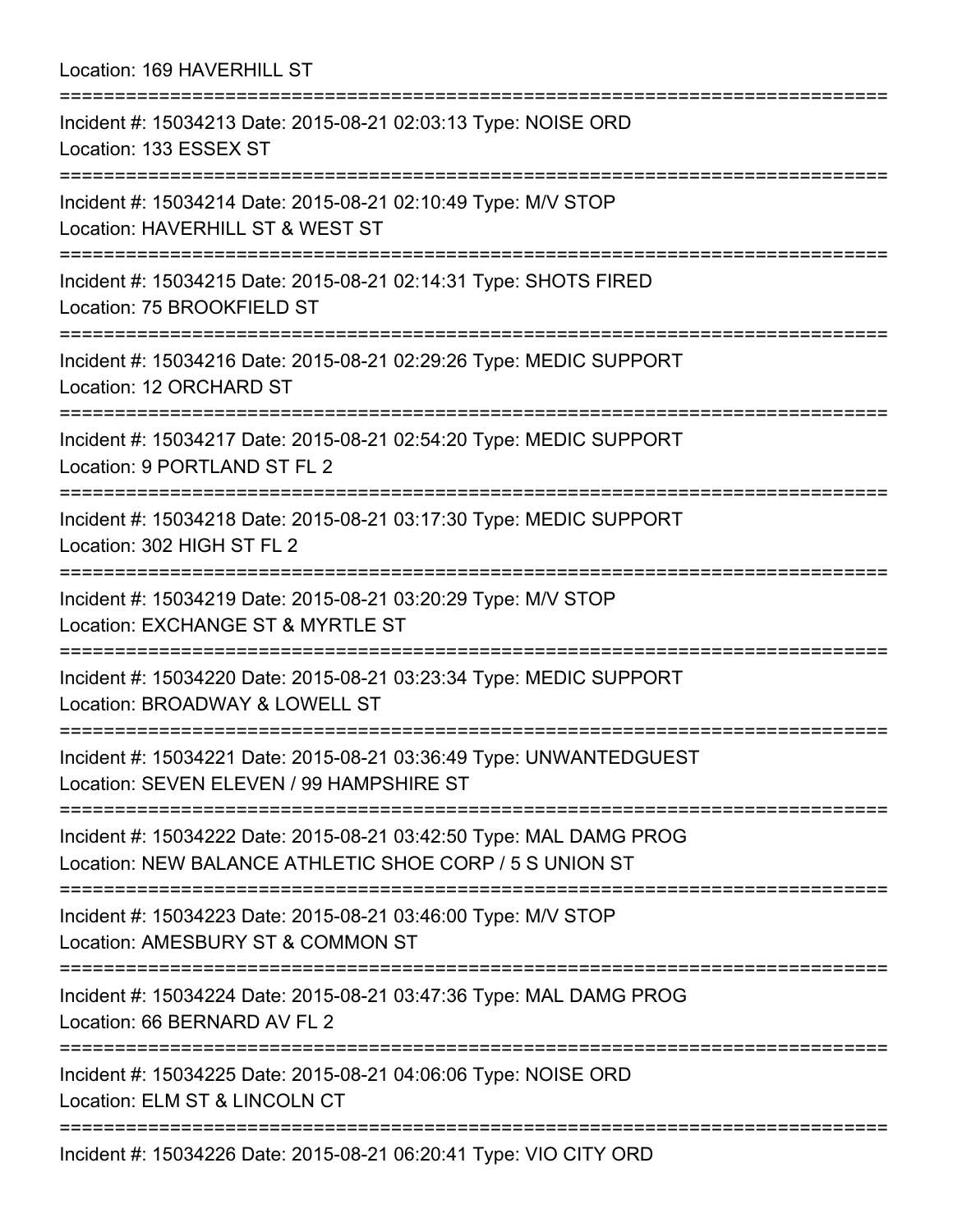Location: 169 HAVERHILL ST =========================================================================== Incident #: 15034213 Date: 2015-08-21 02:03:13 Type: NOISE ORD Location: 133 ESSEX ST =========================================================================== Incident #: 15034214 Date: 2015-08-21 02:10:49 Type: M/V STOP Location: HAVERHILL ST & WEST ST =========================================================================== Incident #: 15034215 Date: 2015-08-21 02:14:31 Type: SHOTS FIRED Location: 75 BROOKFIELD ST =========================================================================== Incident #: 15034216 Date: 2015-08-21 02:29:26 Type: MEDIC SUPPORT Location: 12 ORCHARD ST ============================= Incident #: 15034217 Date: 2015-08-21 02:54:20 Type: MEDIC SUPPORT Location: 9 PORTLAND ST FL 2 =========================================================================== Incident #: 15034218 Date: 2015-08-21 03:17:30 Type: MEDIC SUPPORT Location: 302 HIGH ST FL 2 =========================================================================== Incident #: 15034219 Date: 2015-08-21 03:20:29 Type: M/V STOP Location: EXCHANGE ST & MYRTLE ST =========================================================================== Incident #: 15034220 Date: 2015-08-21 03:23:34 Type: MEDIC SUPPORT Location: BROADWAY & LOWELL ST =========================================================================== Incident #: 15034221 Date: 2015-08-21 03:36:49 Type: UNWANTEDGUEST Location: SEVEN ELEVEN / 99 HAMPSHIRE ST =========================================================================== Incident #: 15034222 Date: 2015-08-21 03:42:50 Type: MAL DAMG PROG Location: NEW BALANCE ATHLETIC SHOE CORP / 5 S UNION ST =========================================================================== Incident #: 15034223 Date: 2015-08-21 03:46:00 Type: M/V STOP Location: AMESBURY ST & COMMON ST =========================================================================== Incident #: 15034224 Date: 2015-08-21 03:47:36 Type: MAL DAMG PROG Location: 66 BERNARD AV FL 2 =========================================================================== Incident #: 15034225 Date: 2015-08-21 04:06:06 Type: NOISE ORD Location: ELM ST & LINCOLN CT =========================================================================== Incident #: 15034226 Date: 2015-08-21 06:20:41 Type: VIO CITY ORD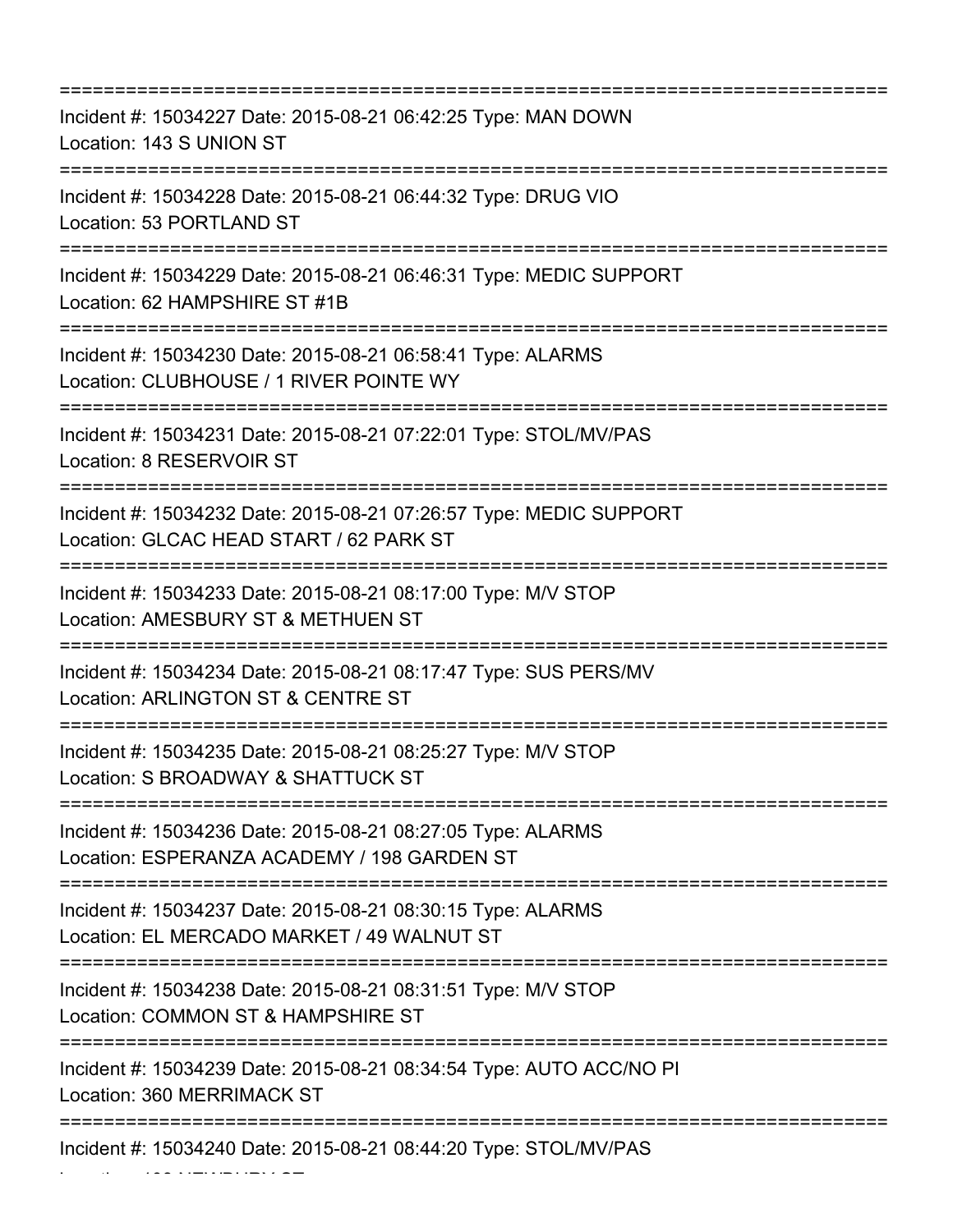| Incident #: 15034227 Date: 2015-08-21 06:42:25 Type: MAN DOWN<br>Location: 143 S UNION ST                                                       |
|-------------------------------------------------------------------------------------------------------------------------------------------------|
| Incident #: 15034228 Date: 2015-08-21 06:44:32 Type: DRUG VIO<br>Location: 53 PORTLAND ST                                                       |
| Incident #: 15034229 Date: 2015-08-21 06:46:31 Type: MEDIC SUPPORT<br>Location: 62 HAMPSHIRE ST #1B<br>=================                        |
| Incident #: 15034230 Date: 2015-08-21 06:58:41 Type: ALARMS<br>Location: CLUBHOUSE / 1 RIVER POINTE WY                                          |
| Incident #: 15034231 Date: 2015-08-21 07:22:01 Type: STOL/MV/PAS<br>Location: 8 RESERVOIR ST                                                    |
| Incident #: 15034232 Date: 2015-08-21 07:26:57 Type: MEDIC SUPPORT<br>Location: GLCAC HEAD START / 62 PARK ST                                   |
| Incident #: 15034233 Date: 2015-08-21 08:17:00 Type: M/V STOP<br>Location: AMESBURY ST & METHUEN ST                                             |
| Incident #: 15034234 Date: 2015-08-21 08:17:47 Type: SUS PERS/MV<br>Location: ARLINGTON ST & CENTRE ST                                          |
| Incident #: 15034235 Date: 2015-08-21 08:25:27 Type: M/V STOP<br>Location: S BROADWAY & SHATTUCK ST                                             |
| Incident #: 15034236 Date: 2015-08-21 08:27:05 Type: ALARMS<br>Location: ESPERANZA ACADEMY / 198 GARDEN ST                                      |
| ==================================<br>Incident #: 15034237 Date: 2015-08-21 08:30:15 Type: ALARMS<br>Location: EL MERCADO MARKET / 49 WALNUT ST |
| Incident #: 15034238 Date: 2015-08-21 08:31:51 Type: M/V STOP<br>Location: COMMON ST & HAMPSHIRE ST                                             |
| Incident #: 15034239 Date: 2015-08-21 08:34:54 Type: AUTO ACC/NO PI<br>Location: 360 MERRIMACK ST                                               |
| Incident #: 15034240 Date: 2015-08-21 08:44:20 Type: STOL/MV/PAS                                                                                |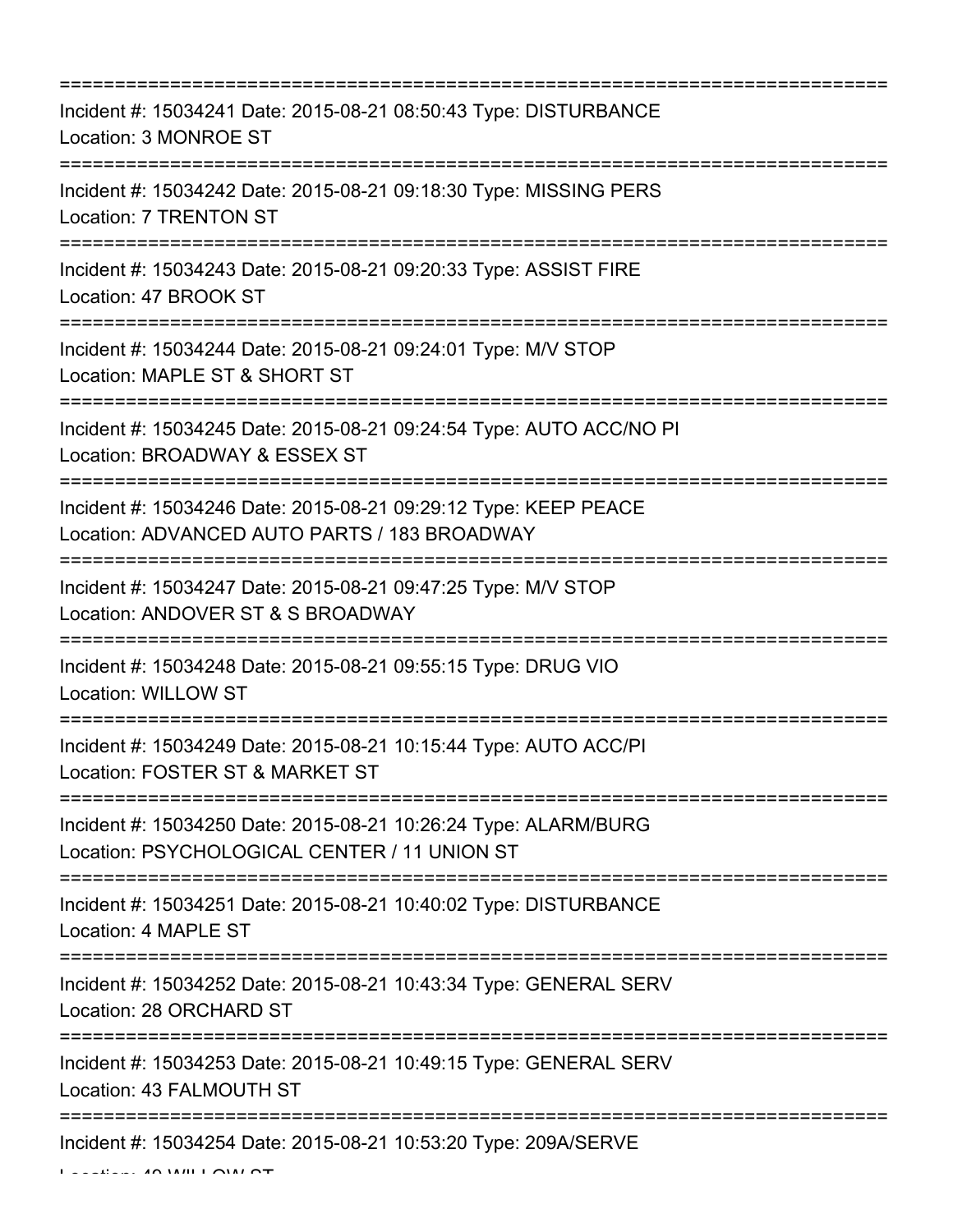| Incident #: 15034241 Date: 2015-08-21 08:50:43 Type: DISTURBANCE<br>Location: 3 MONROE ST<br>:======================                                                                         |
|----------------------------------------------------------------------------------------------------------------------------------------------------------------------------------------------|
| Incident #: 15034242 Date: 2015-08-21 09:18:30 Type: MISSING PERS<br><b>Location: 7 TRENTON ST</b>                                                                                           |
| Incident #: 15034243 Date: 2015-08-21 09:20:33 Type: ASSIST FIRE<br>Location: 47 BROOK ST                                                                                                    |
| Incident #: 15034244 Date: 2015-08-21 09:24:01 Type: M/V STOP<br>Location: MAPLE ST & SHORT ST<br>=======================                                                                    |
| Incident #: 15034245 Date: 2015-08-21 09:24:54 Type: AUTO ACC/NO PI<br>Location: BROADWAY & ESSEX ST                                                                                         |
| Incident #: 15034246 Date: 2015-08-21 09:29:12 Type: KEEP PEACE<br>Location: ADVANCED AUTO PARTS / 183 BROADWAY<br>:===============================<br>===================================== |
| Incident #: 15034247 Date: 2015-08-21 09:47:25 Type: M/V STOP<br>Location: ANDOVER ST & S BROADWAY                                                                                           |
| Incident #: 15034248 Date: 2015-08-21 09:55:15 Type: DRUG VIO<br><b>Location: WILLOW ST</b>                                                                                                  |
| Incident #: 15034249 Date: 2015-08-21 10:15:44 Type: AUTO ACC/PI<br>Location: FOSTER ST & MARKET ST                                                                                          |
| Incident #: 15034250 Date: 2015-08-21 10:26:24 Type: ALARM/BURG<br>Location: PSYCHOLOGICAL CENTER / 11 UNION ST                                                                              |
| Incident #: 15034251 Date: 2015-08-21 10:40:02 Type: DISTURBANCE<br>Location: 4 MAPLE ST                                                                                                     |
| Incident #: 15034252 Date: 2015-08-21 10:43:34 Type: GENERAL SERV<br>Location: 28 ORCHARD ST                                                                                                 |
| Incident #: 15034253 Date: 2015-08-21 10:49:15 Type: GENERAL SERV<br>Location: 43 FALMOUTH ST                                                                                                |
| Incident #: 15034254 Date: 2015-08-21 10:53:20 Type: 209A/SERVE                                                                                                                              |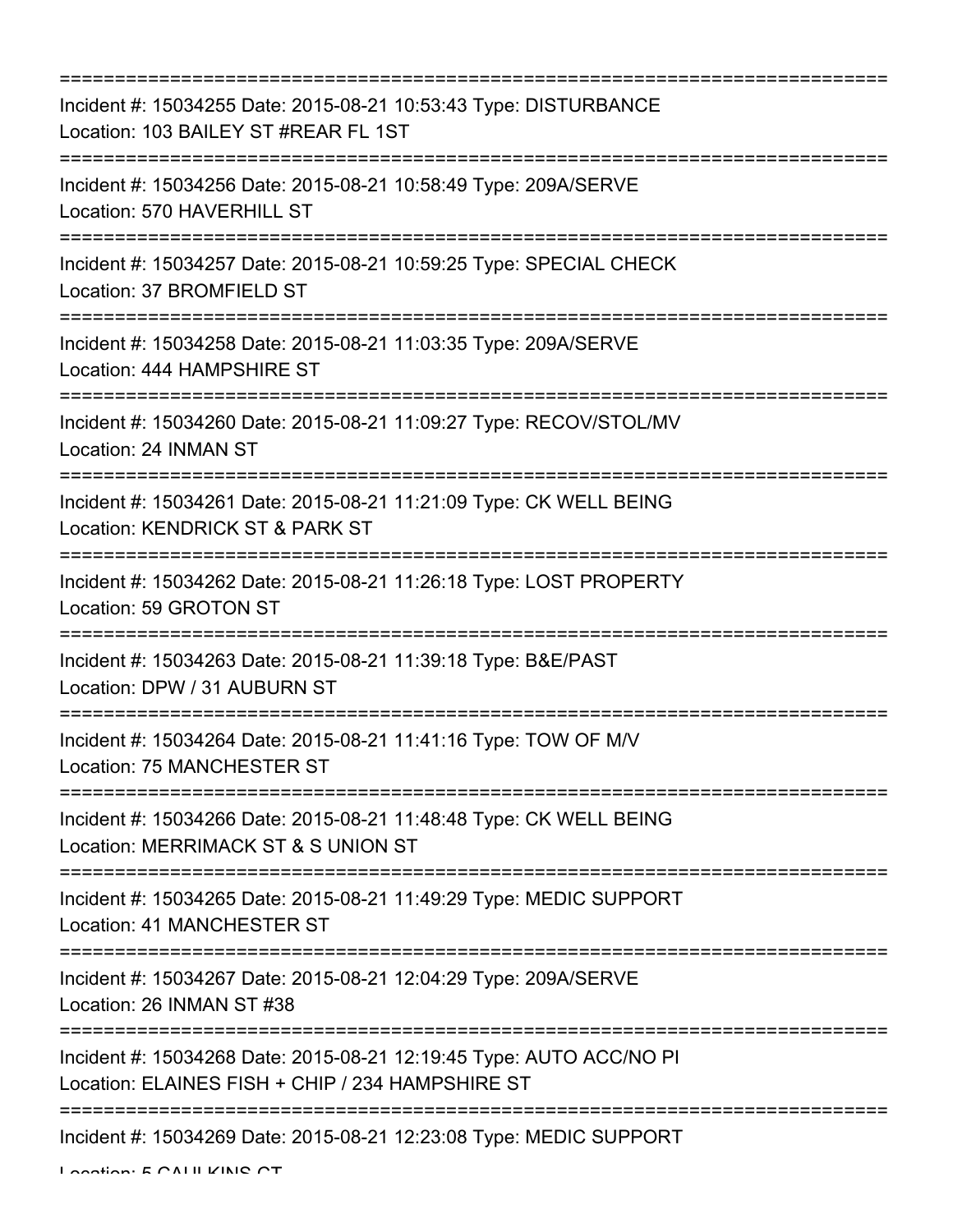| .================================<br>______________________________                                                                                             |
|-----------------------------------------------------------------------------------------------------------------------------------------------------------------|
| Incident #: 15034255 Date: 2015-08-21 10:53:43 Type: DISTURBANCE<br>Location: 103 BAILEY ST #REAR FL 1ST<br>=======================                             |
| Incident #: 15034256 Date: 2015-08-21 10:58:49 Type: 209A/SERVE<br>Location: 570 HAVERHILL ST                                                                   |
| Incident #: 15034257 Date: 2015-08-21 10:59:25 Type: SPECIAL CHECK<br>Location: 37 BROMFIELD ST                                                                 |
| Incident #: 15034258 Date: 2015-08-21 11:03:35 Type: 209A/SERVE<br>Location: 444 HAMPSHIRE ST                                                                   |
| Incident #: 15034260 Date: 2015-08-21 11:09:27 Type: RECOV/STOL/MV<br>Location: 24 INMAN ST                                                                     |
| Incident #: 15034261 Date: 2015-08-21 11:21:09 Type: CK WELL BEING<br>Location: KENDRICK ST & PARK ST                                                           |
| Incident #: 15034262 Date: 2015-08-21 11:26:18 Type: LOST PROPERTY<br>Location: 59 GROTON ST                                                                    |
| Incident #: 15034263 Date: 2015-08-21 11:39:18 Type: B&E/PAST<br>Location: DPW / 31 AUBURN ST                                                                   |
| Incident #: 15034264 Date: 2015-08-21 11:41:16 Type: TOW OF M/V<br>Location: 75 MANCHESTER ST<br>====================================<br>:===================== |
| Incident #: 15034266 Date: 2015-08-21 11:48:48 Type: CK WELL BEING<br>Location: MERRIMACK ST & S UNION ST                                                       |
| Incident #: 15034265 Date: 2015-08-21 11:49:29 Type: MEDIC SUPPORT<br>Location: 41 MANCHESTER ST<br>===============                                             |
| Incident #: 15034267 Date: 2015-08-21 12:04:29 Type: 209A/SERVE<br>Location: 26 INMAN ST #38                                                                    |
| Incident #: 15034268 Date: 2015-08-21 12:19:45 Type: AUTO ACC/NO PI<br>Location: ELAINES FISH + CHIP / 234 HAMPSHIRE ST                                         |
| Incident #: 15034269 Date: 2015-08-21 12:23:08 Type: MEDIC SUPPORT                                                                                              |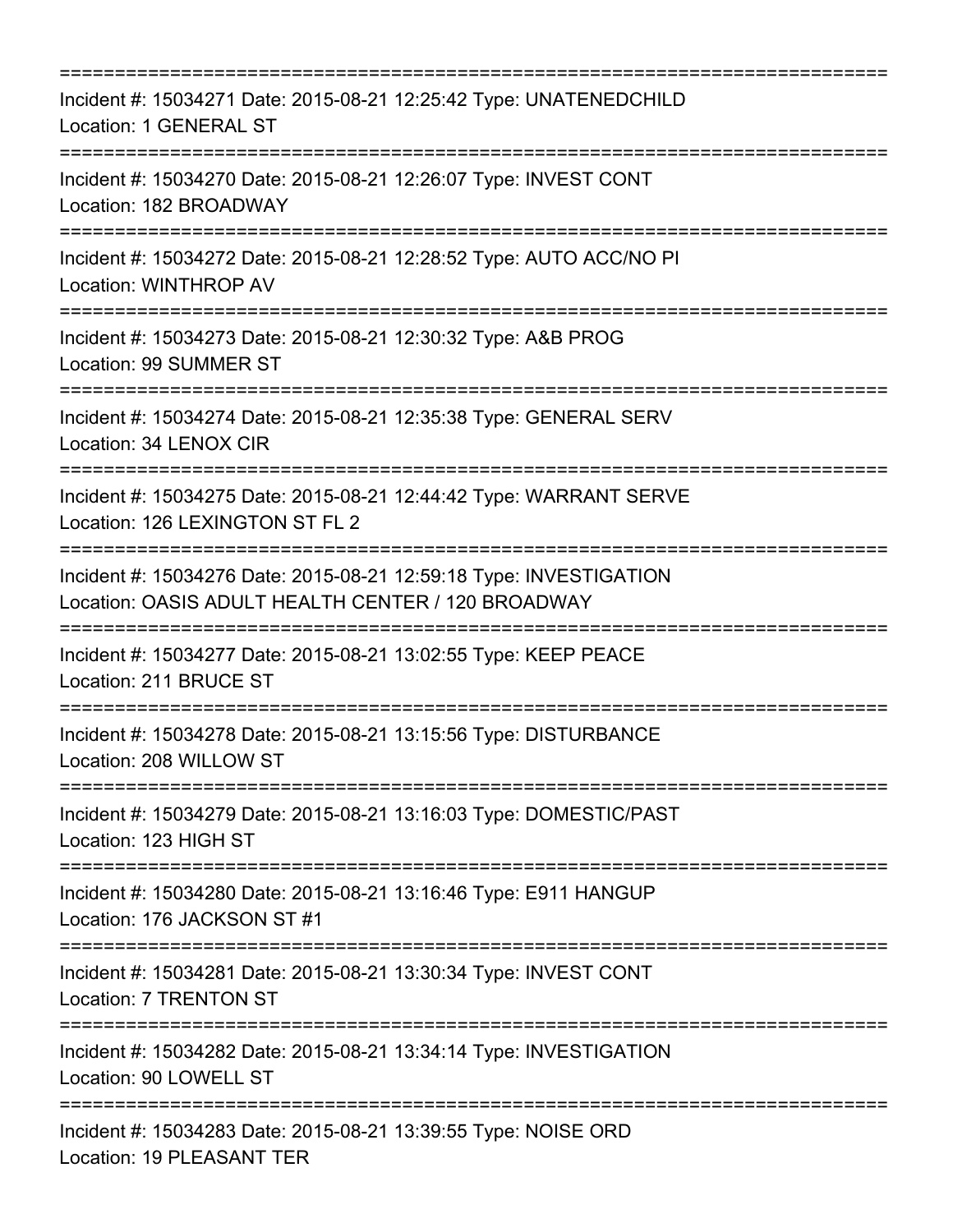| Incident #: 15034271 Date: 2015-08-21 12:25:42 Type: UNATENEDCHILD<br>Location: 1 GENERAL ST                                    |
|---------------------------------------------------------------------------------------------------------------------------------|
| Incident #: 15034270 Date: 2015-08-21 12:26:07 Type: INVEST CONT<br>Location: 182 BROADWAY<br>=====================             |
| Incident #: 15034272 Date: 2015-08-21 12:28:52 Type: AUTO ACC/NO PI<br>Location: WINTHROP AV                                    |
| Incident #: 15034273 Date: 2015-08-21 12:30:32 Type: A&B PROG<br>Location: 99 SUMMER ST                                         |
| Incident #: 15034274 Date: 2015-08-21 12:35:38 Type: GENERAL SERV<br>Location: 34 LENOX CIR                                     |
| Incident #: 15034275 Date: 2015-08-21 12:44:42 Type: WARRANT SERVE<br>Location: 126 LEXINGTON ST FL 2<br>:===================== |
| Incident #: 15034276 Date: 2015-08-21 12:59:18 Type: INVESTIGATION<br>Location: OASIS ADULT HEALTH CENTER / 120 BROADWAY        |
| Incident #: 15034277 Date: 2015-08-21 13:02:55 Type: KEEP PEACE<br>Location: 211 BRUCE ST                                       |
| Incident #: 15034278 Date: 2015-08-21 13:15:56 Type: DISTURBANCE<br>Location: 208 WILLOW ST                                     |
| Incident #: 15034279 Date: 2015-08-21 13:16:03 Type: DOMESTIC/PAST<br>Location: 123 HIGH ST                                     |
| Incident #: 15034280 Date: 2015-08-21 13:16:46 Type: E911 HANGUP<br>Location: 176 JACKSON ST #1                                 |
| Incident #: 15034281 Date: 2015-08-21 13:30:34 Type: INVEST CONT<br>Location: 7 TRENTON ST                                      |
| Incident #: 15034282 Date: 2015-08-21 13:34:14 Type: INVESTIGATION<br>Location: 90 LOWELL ST                                    |
| Incident #: 15034283 Date: 2015-08-21 13:39:55 Type: NOISE ORD<br>Location: 19 PLEASANT TER                                     |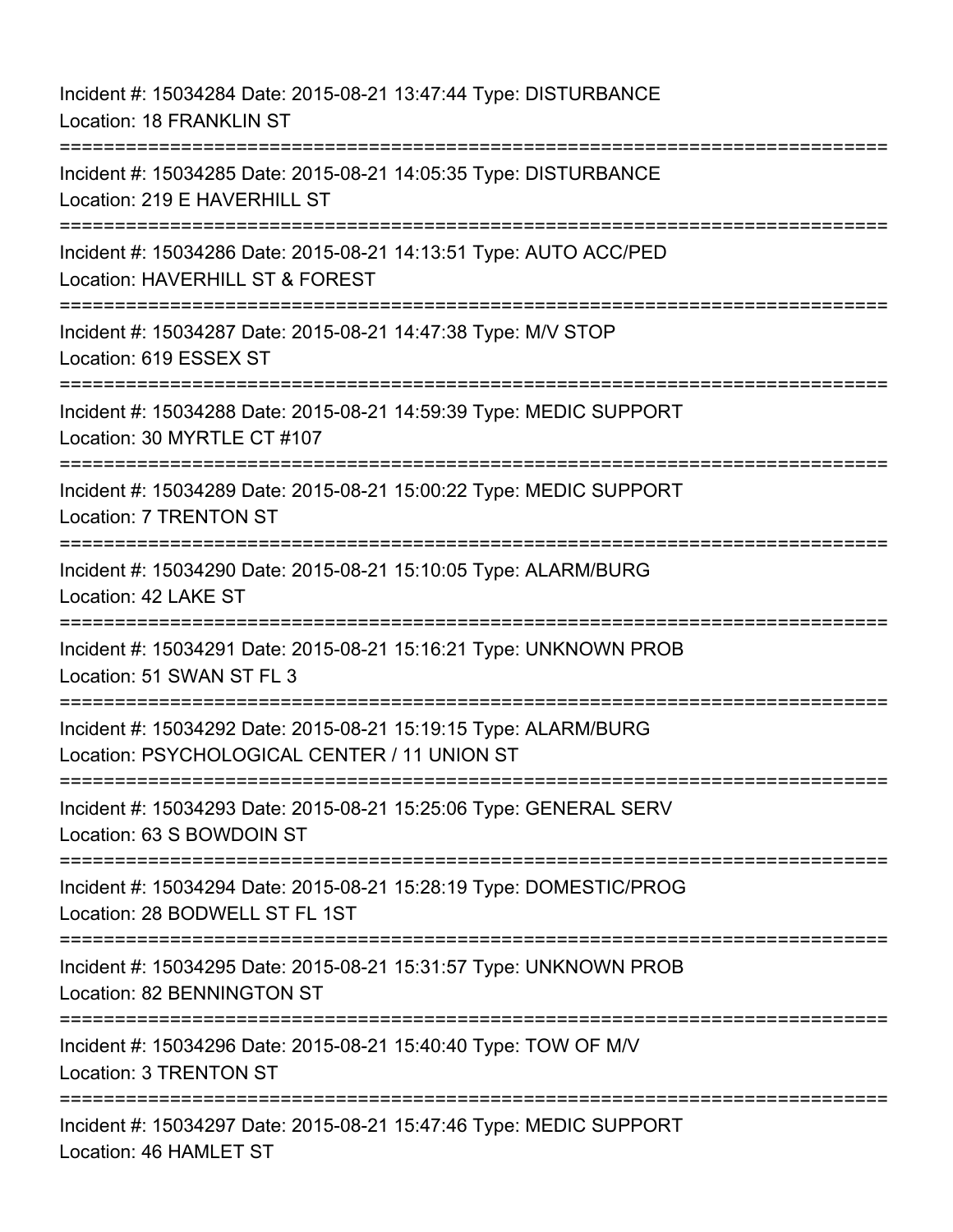Incident #: 15034284 Date: 2015-08-21 13:47:44 Type: DISTURBANCE Location: 18 FRANKLIN ST =========================================================================== Incident #: 15034285 Date: 2015-08-21 14:05:35 Type: DISTURBANCE Location: 219 E HAVERHILL ST =========================================================================== Incident #: 15034286 Date: 2015-08-21 14:13:51 Type: AUTO ACC/PED Location: HAVERHILL ST & FOREST =========================================================================== Incident #: 15034287 Date: 2015-08-21 14:47:38 Type: M/V STOP Location: 619 ESSEX ST =========================================================================== Incident #: 15034288 Date: 2015-08-21 14:59:39 Type: MEDIC SUPPORT Location: 30 MYRTLE CT #107 =========================================================================== Incident #: 15034289 Date: 2015-08-21 15:00:22 Type: MEDIC SUPPORT Location: 7 TRENTON ST =========================================================================== Incident #: 15034290 Date: 2015-08-21 15:10:05 Type: ALARM/BURG Location: 42 LAKE ST =========================================================================== Incident #: 15034291 Date: 2015-08-21 15:16:21 Type: UNKNOWN PROB Location: 51 SWAN ST FL 3 =========================================================================== Incident #: 15034292 Date: 2015-08-21 15:19:15 Type: ALARM/BURG Location: PSYCHOLOGICAL CENTER / 11 UNION ST =========================================================================== Incident #: 15034293 Date: 2015-08-21 15:25:06 Type: GENERAL SERV Location: 63 S BOWDOIN ST =========================================================================== Incident #: 15034294 Date: 2015-08-21 15:28:19 Type: DOMESTIC/PROG Location: 28 BODWELL ST FL 1ST =========================================================================== Incident #: 15034295 Date: 2015-08-21 15:31:57 Type: UNKNOWN PROB Location: 82 BENNINGTON ST =========================================================================== Incident #: 15034296 Date: 2015-08-21 15:40:40 Type: TOW OF M/V Location: 3 TRENTON ST ============================ Incident #: 15034297 Date: 2015-08-21 15:47:46 Type: MEDIC SUPPORT Location: 46 HAMLET ST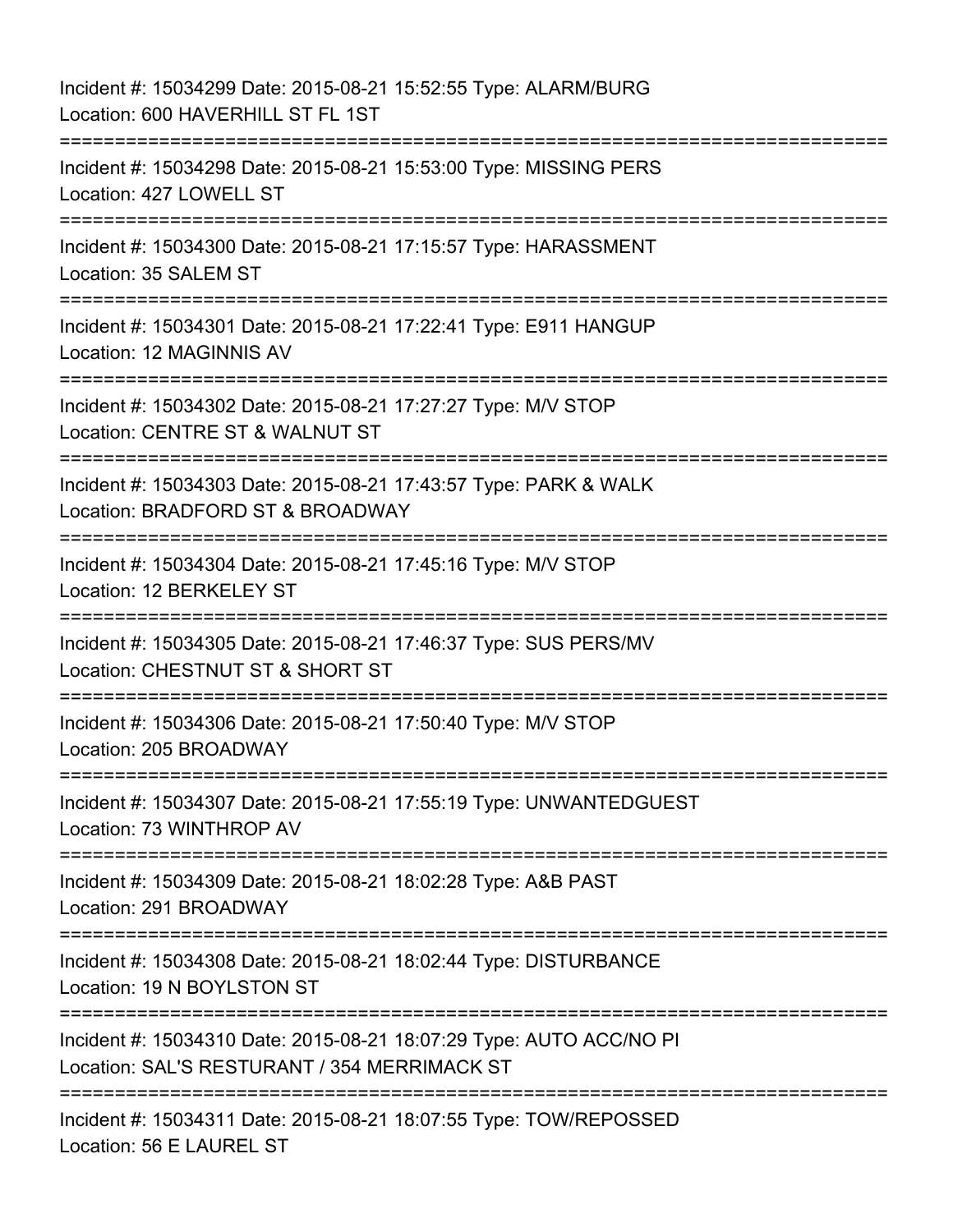Incident #: 15034299 Date: 2015-08-21 15:52:55 Type: ALARM/BURG Location: 600 HAVERHILL ST FL 1ST =========================================================================== Incident #: 15034298 Date: 2015-08-21 15:53:00 Type: MISSING PERS Location: 427 LOWELL ST =========================================================================== Incident #: 15034300 Date: 2015-08-21 17:15:57 Type: HARASSMENT Location: 35 SALEM ST =========================================================================== Incident #: 15034301 Date: 2015-08-21 17:22:41 Type: E911 HANGUP Location: 12 MAGINNIS AV =========================================================================== Incident #: 15034302 Date: 2015-08-21 17:27:27 Type: M/V STOP Location: CENTRE ST & WALNUT ST =========================================================================== Incident #: 15034303 Date: 2015-08-21 17:43:57 Type: PARK & WALK Location: BRADFORD ST & BROADWAY =========================================================================== Incident #: 15034304 Date: 2015-08-21 17:45:16 Type: M/V STOP Location: 12 BERKELEY ST =========================================================================== Incident #: 15034305 Date: 2015-08-21 17:46:37 Type: SUS PERS/MV Location: CHESTNUT ST & SHORT ST =========================================================================== Incident #: 15034306 Date: 2015-08-21 17:50:40 Type: M/V STOP Location: 205 BROADWAY =========================================================================== Incident #: 15034307 Date: 2015-08-21 17:55:19 Type: UNWANTEDGUEST Location: 73 WINTHROP AV =========================================================================== Incident #: 15034309 Date: 2015-08-21 18:02:28 Type: A&B PAST Location: 291 BROADWAY =========================================================================== Incident #: 15034308 Date: 2015-08-21 18:02:44 Type: DISTURBANCE Location: 19 N BOYLSTON ST =========================================================================== Incident #: 15034310 Date: 2015-08-21 18:07:29 Type: AUTO ACC/NO PI Location: SAL'S RESTURANT / 354 MERRIMACK ST =========================================================================== Incident #: 15034311 Date: 2015-08-21 18:07:55 Type: TOW/REPOSSED Location: 56 E LAUREL ST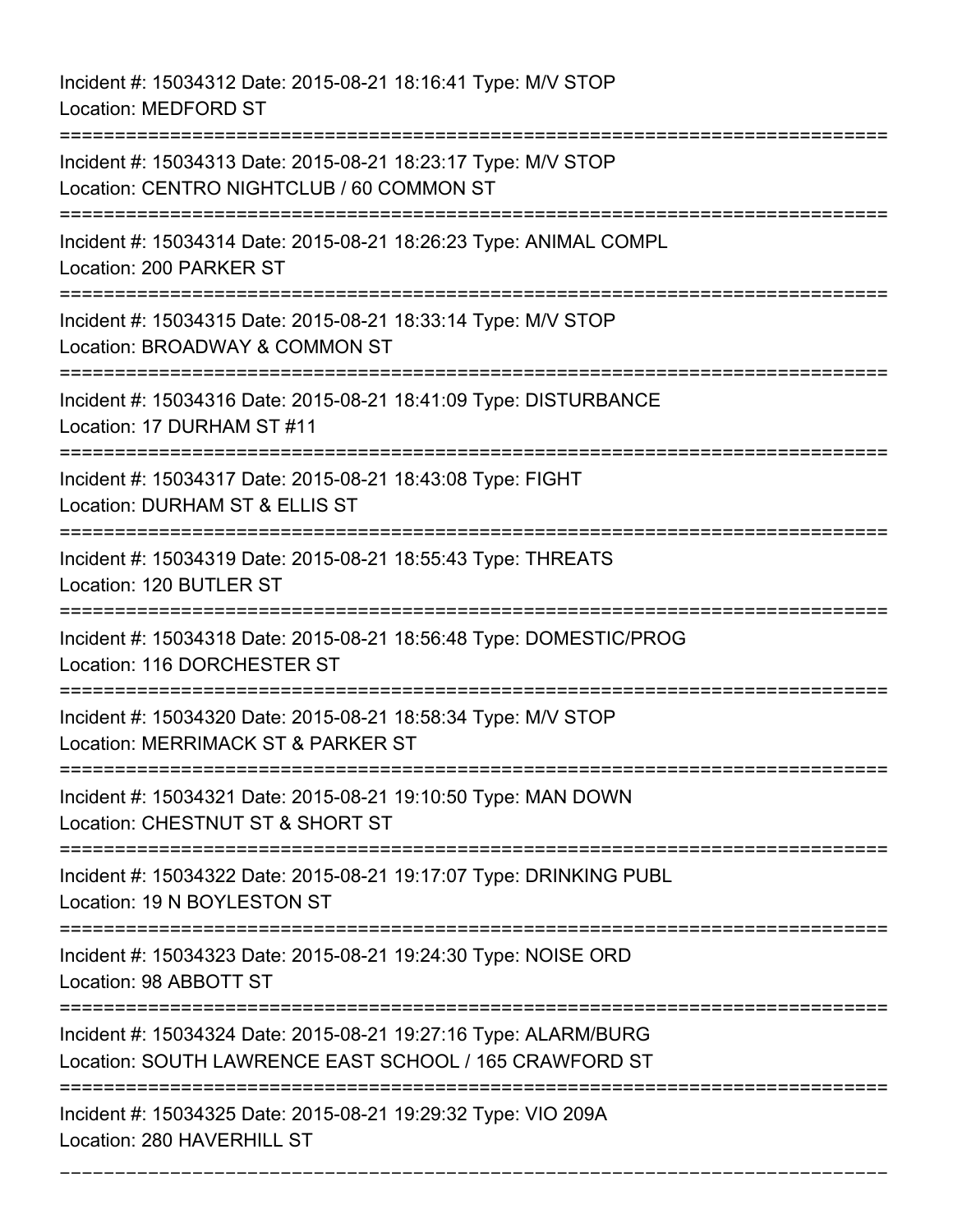Incident #: 15034312 Date: 2015-08-21 18:16:41 Type: M/V STOP Location: MEDFORD ST

=========================================================================== Incident #: 15034313 Date: 2015-08-21 18:23:17 Type: M/V STOP Location: CENTRO NIGHTCLUB / 60 COMMON ST =========================================================================== Incident #: 15034314 Date: 2015-08-21 18:26:23 Type: ANIMAL COMPL Location: 200 PARKER ST =========================================================================== Incident #: 15034315 Date: 2015-08-21 18:33:14 Type: M/V STOP Location: BROADWAY & COMMON ST =========================================================================== Incident #: 15034316 Date: 2015-08-21 18:41:09 Type: DISTURBANCE Location: 17 DURHAM ST #11 =========================================================================== Incident #: 15034317 Date: 2015-08-21 18:43:08 Type: FIGHT Location: DURHAM ST & ELLIS ST =========================================================================== Incident #: 15034319 Date: 2015-08-21 18:55:43 Type: THREATS Location: 120 BUTLER ST =========================================================================== Incident #: 15034318 Date: 2015-08-21 18:56:48 Type: DOMESTIC/PROG Location: 116 DORCHESTER ST =========================================================================== Incident #: 15034320 Date: 2015-08-21 18:58:34 Type: M/V STOP Location: MERRIMACK ST & PARKER ST =========================================================================== Incident #: 15034321 Date: 2015-08-21 19:10:50 Type: MAN DOWN Location: CHESTNUT ST & SHORT ST =========================================================================== Incident #: 15034322 Date: 2015-08-21 19:17:07 Type: DRINKING PUBL Location: 19 N BOYLESTON ST =========================================================================== Incident #: 15034323 Date: 2015-08-21 19:24:30 Type: NOISE ORD Location: 98 ABBOTT ST =========================================================================== Incident #: 15034324 Date: 2015-08-21 19:27:16 Type: ALARM/BURG Location: SOUTH LAWRENCE EAST SCHOOL / 165 CRAWFORD ST =========================================================================== Incident #: 15034325 Date: 2015-08-21 19:29:32 Type: VIO 209A Location: 280 HAVERHILL ST

===========================================================================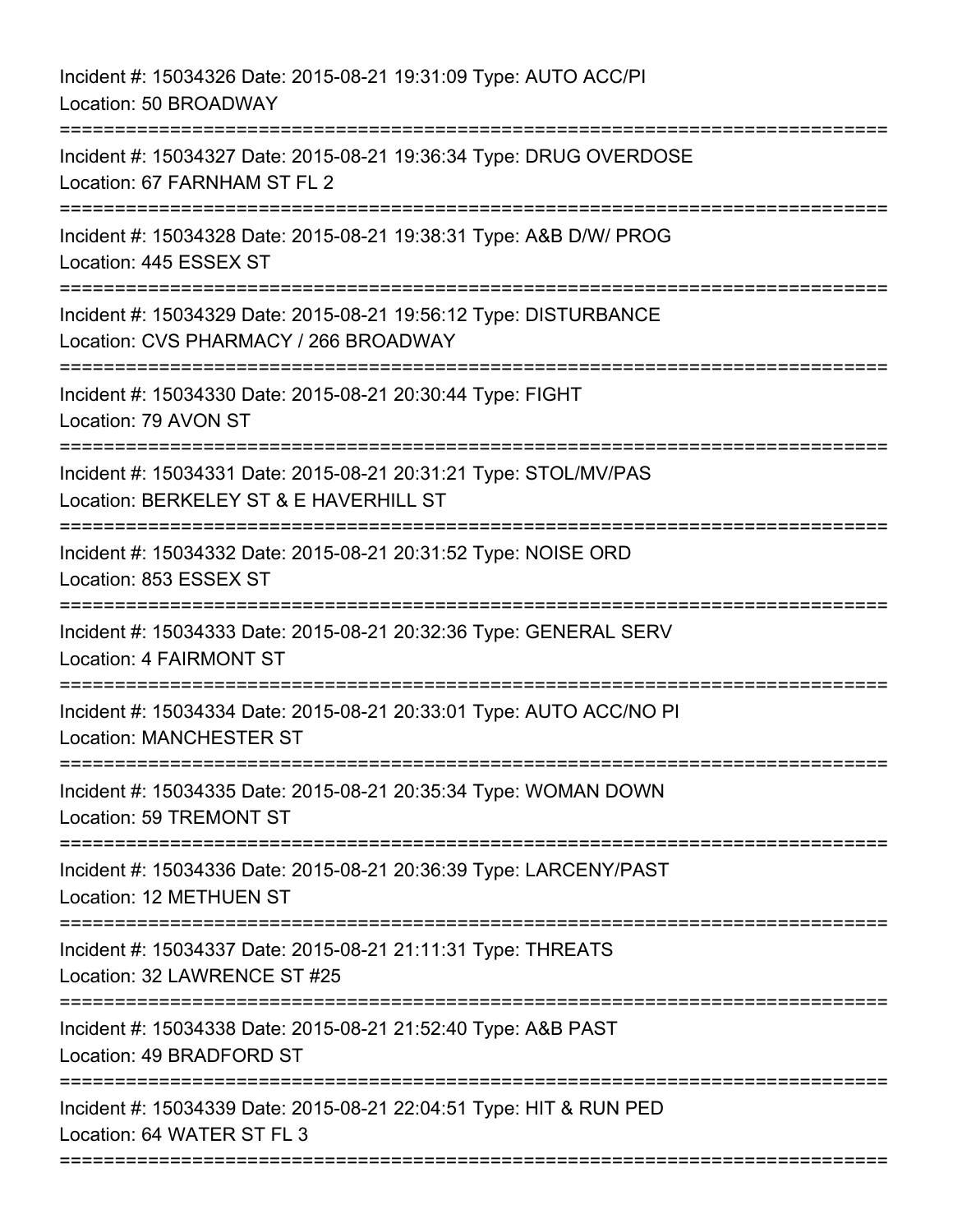| Incident #: 15034326 Date: 2015-08-21 19:31:09 Type: AUTO ACC/PI<br>Location: 50 BROADWAY                                               |
|-----------------------------------------------------------------------------------------------------------------------------------------|
| Incident #: 15034327 Date: 2015-08-21 19:36:34 Type: DRUG OVERDOSE<br>Location: 67 FARNHAM ST FL 2<br>=====================             |
| Incident #: 15034328 Date: 2015-08-21 19:38:31 Type: A&B D/W/ PROG<br>Location: 445 ESSEX ST                                            |
| Incident #: 15034329 Date: 2015-08-21 19:56:12 Type: DISTURBANCE<br>Location: CVS PHARMACY / 266 BROADWAY                               |
| Incident #: 15034330 Date: 2015-08-21 20:30:44 Type: FIGHT<br>Location: 79 AVON ST                                                      |
| Incident #: 15034331 Date: 2015-08-21 20:31:21 Type: STOL/MV/PAS<br>Location: BERKELEY ST & E HAVERHILL ST<br>========================= |
| Incident #: 15034332 Date: 2015-08-21 20:31:52 Type: NOISE ORD<br>Location: 853 ESSEX ST                                                |
| Incident #: 15034333 Date: 2015-08-21 20:32:36 Type: GENERAL SERV<br><b>Location: 4 FAIRMONT ST</b>                                     |
| Incident #: 15034334 Date: 2015-08-21 20:33:01 Type: AUTO ACC/NO PI<br><b>Location: MANCHESTER ST</b>                                   |
| Incident #: 15034335 Date: 2015-08-21 20:35:34 Type: WOMAN DOWN<br>Location: 59 TREMONT ST                                              |
| Incident #: 15034336 Date: 2015-08-21 20:36:39 Type: LARCENY/PAST<br>Location: 12 METHUEN ST                                            |
| Incident #: 15034337 Date: 2015-08-21 21:11:31 Type: THREATS<br>Location: 32 LAWRENCE ST #25                                            |
| Incident #: 15034338 Date: 2015-08-21 21:52:40 Type: A&B PAST<br>Location: 49 BRADFORD ST                                               |
| Incident #: 15034339 Date: 2015-08-21 22:04:51 Type: HIT & RUN PED<br>Location: 64 WATER ST FL 3                                        |
|                                                                                                                                         |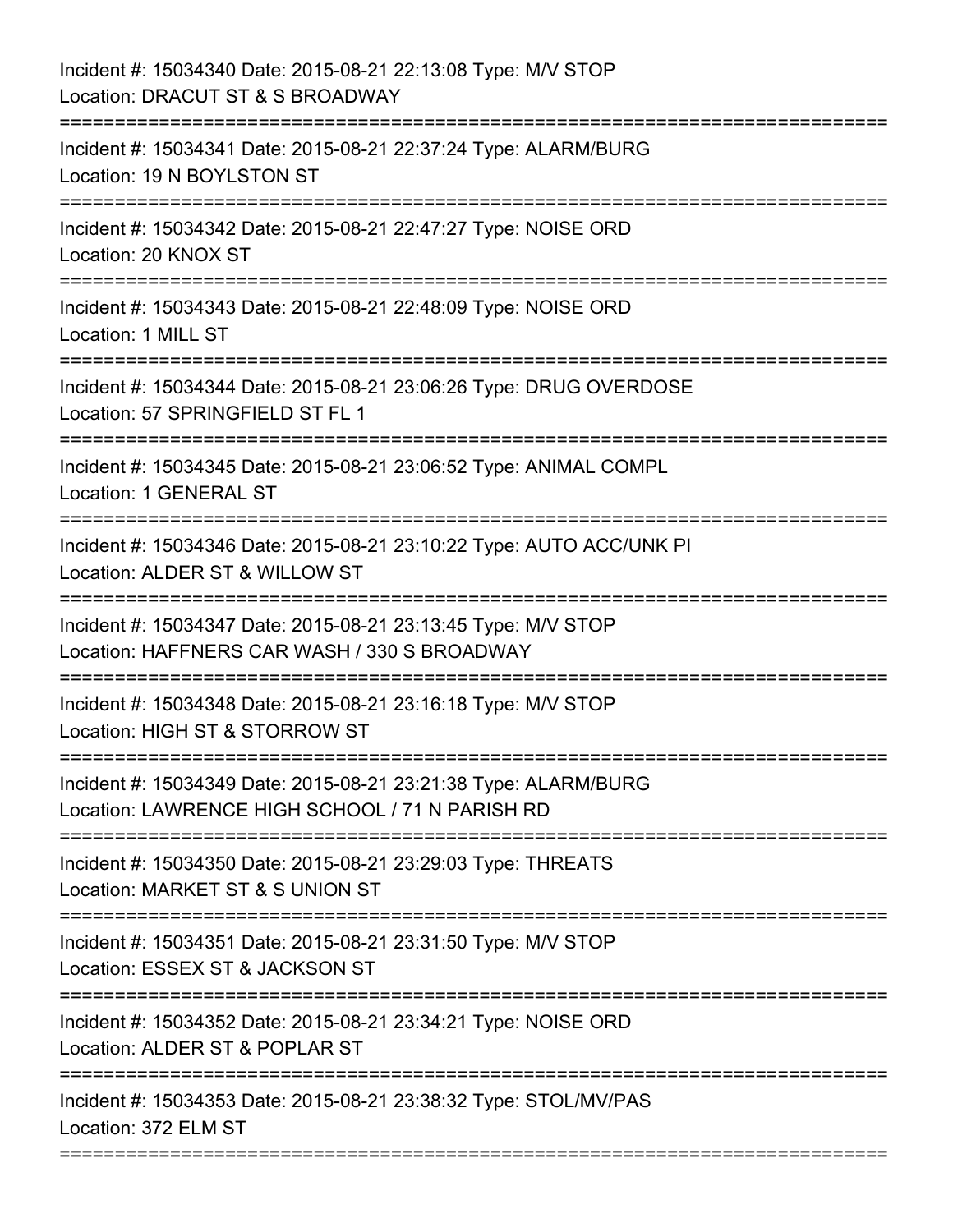| Incident #: 15034340 Date: 2015-08-21 22:13:08 Type: M/V STOP<br>Location: DRACUT ST & S BROADWAY                                                    |
|------------------------------------------------------------------------------------------------------------------------------------------------------|
| Incident #: 15034341 Date: 2015-08-21 22:37:24 Type: ALARM/BURG<br>Location: 19 N BOYLSTON ST<br>:==============                                     |
| Incident #: 15034342 Date: 2015-08-21 22:47:27 Type: NOISE ORD<br>Location: 20 KNOX ST                                                               |
| Incident #: 15034343 Date: 2015-08-21 22:48:09 Type: NOISE ORD<br>Location: 1 MILL ST<br>=======================<br>---------------------            |
| Incident #: 15034344 Date: 2015-08-21 23:06:26 Type: DRUG OVERDOSE<br>Location: 57 SPRINGFIELD ST FL 1                                               |
| Incident #: 15034345 Date: 2015-08-21 23:06:52 Type: ANIMAL COMPL<br>Location: 1 GENERAL ST                                                          |
| Incident #: 15034346 Date: 2015-08-21 23:10:22 Type: AUTO ACC/UNK PI<br>Location: ALDER ST & WILLOW ST<br>-----------------------------              |
| Incident #: 15034347 Date: 2015-08-21 23:13:45 Type: M/V STOP<br>Location: HAFFNERS CAR WASH / 330 S BROADWAY<br>=================================== |
| Incident #: 15034348 Date: 2015-08-21 23:16:18 Type: M/V STOP<br>Location: HIGH ST & STORROW ST                                                      |
| Incident #: 15034349 Date: 2015-08-21 23:21:38 Type: ALARM/BURG<br>Location: LAWRENCE HIGH SCHOOL / 71 N PARISH RD                                   |
| Incident #: 15034350 Date: 2015-08-21 23:29:03 Type: THREATS<br>Location: MARKET ST & S UNION ST                                                     |
| Incident #: 15034351 Date: 2015-08-21 23:31:50 Type: M/V STOP<br>Location: ESSEX ST & JACKSON ST                                                     |
| Incident #: 15034352 Date: 2015-08-21 23:34:21 Type: NOISE ORD<br>Location: ALDER ST & POPLAR ST                                                     |
| Incident #: 15034353 Date: 2015-08-21 23:38:32 Type: STOL/MV/PAS<br>Location: 372 ELM ST                                                             |
|                                                                                                                                                      |